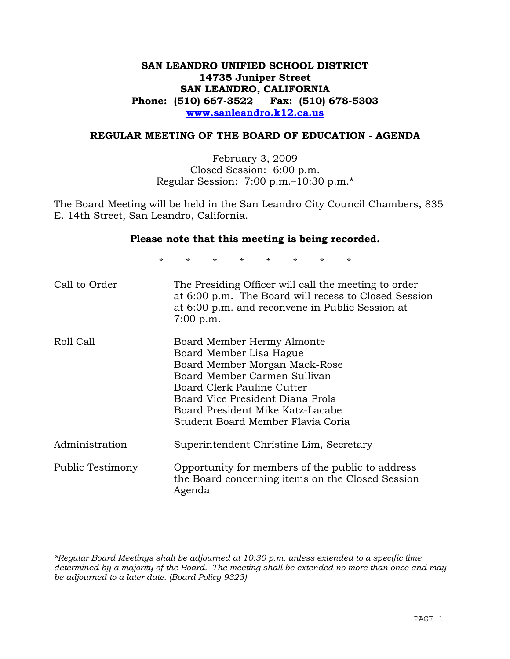## **SAN LEANDRO UNIFIED SCHOOL DISTRICT 14735 Juniper Street SAN LEANDRO, CALIFORNIA Phone: (510) 667-3522 Fax: (510) 678-5303 www.sanleandro.k12.ca.us**

#### **REGULAR MEETING OF THE BOARD OF EDUCATION - AGENDA**

February 3, 2009 Closed Session: 6:00 p.m. Regular Session: 7:00 p.m.–10:30 p.m.\*

The Board Meeting will be held in the San Leandro City Council Chambers, 835 E. 14th Street, San Leandro, California.

#### **Please note that this meeting is being recorded.**

\* \* \* \* \* \* \* \*

| Call to Order    | The Presiding Officer will call the meeting to order<br>at 6:00 p.m. The Board will recess to Closed Session<br>at 6:00 p.m. and reconvene in Public Session at<br>7:00 p.m.                                                                                      |
|------------------|-------------------------------------------------------------------------------------------------------------------------------------------------------------------------------------------------------------------------------------------------------------------|
| Roll Call        | Board Member Hermy Almonte<br>Board Member Lisa Hague<br>Board Member Morgan Mack-Rose<br>Board Member Carmen Sullivan<br>Board Clerk Pauline Cutter<br>Board Vice President Diana Prola<br>Board President Mike Katz-Lacabe<br>Student Board Member Flavia Coria |
| Administration   | Superintendent Christine Lim, Secretary                                                                                                                                                                                                                           |
| Public Testimony | Opportunity for members of the public to address<br>the Board concerning items on the Closed Session<br>Agenda                                                                                                                                                    |

*\*Regular Board Meetings shall be adjourned at 10:30 p.m. unless extended to a specific time determined by a majority of the Board. The meeting shall be extended no more than once and may be adjourned to a later date. (Board Policy 9323)*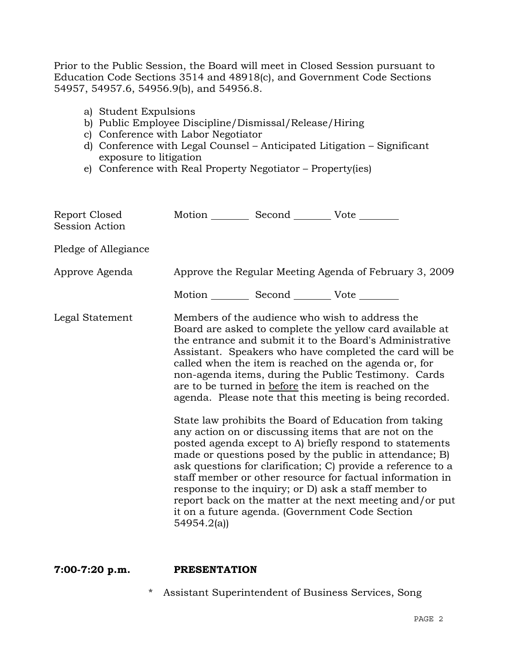Prior to the Public Session, the Board will meet in Closed Session pursuant to Education Code Sections 3514 and 48918(c), and Government Code Sections 54957, 54957.6, 54956.9(b), and 54956.8.

- a) Student Expulsions
- b) Public Employee Discipline/Dismissal/Release/Hiring
- c) Conference with Labor Negotiator
- d) Conference with Legal Counsel Anticipated Litigation Significant exposure to litigation
- e) Conference with Real Property Negotiator Property(ies)

| Report Closed<br>Session Action | Motion __________ Second __________ Vote ________                                                                                                                                                                                                                                                                                                                                                                                                                                                                                                                                                                                                                                                                                                                                                                                                                                                                                                                                                                                    |  |
|---------------------------------|--------------------------------------------------------------------------------------------------------------------------------------------------------------------------------------------------------------------------------------------------------------------------------------------------------------------------------------------------------------------------------------------------------------------------------------------------------------------------------------------------------------------------------------------------------------------------------------------------------------------------------------------------------------------------------------------------------------------------------------------------------------------------------------------------------------------------------------------------------------------------------------------------------------------------------------------------------------------------------------------------------------------------------------|--|
| Pledge of Allegiance            |                                                                                                                                                                                                                                                                                                                                                                                                                                                                                                                                                                                                                                                                                                                                                                                                                                                                                                                                                                                                                                      |  |
| Approve Agenda                  | Approve the Regular Meeting Agenda of February 3, 2009                                                                                                                                                                                                                                                                                                                                                                                                                                                                                                                                                                                                                                                                                                                                                                                                                                                                                                                                                                               |  |
|                                 | Motion __________ Second __________ Vote ________                                                                                                                                                                                                                                                                                                                                                                                                                                                                                                                                                                                                                                                                                                                                                                                                                                                                                                                                                                                    |  |
| Legal Statement                 | Members of the audience who wish to address the<br>Board are asked to complete the yellow card available at<br>the entrance and submit it to the Board's Administrative<br>Assistant. Speakers who have completed the card will be<br>called when the item is reached on the agenda or, for<br>non-agenda items, during the Public Testimony. Cards<br>are to be turned in before the item is reached on the<br>agenda. Please note that this meeting is being recorded.<br>State law prohibits the Board of Education from taking<br>any action on or discussing items that are not on the<br>posted agenda except to A) briefly respond to statements<br>made or questions posed by the public in attendance; B)<br>ask questions for clarification; C) provide a reference to a<br>staff member or other resource for factual information in<br>response to the inquiry; or D) ask a staff member to<br>report back on the matter at the next meeting and/or put<br>it on a future agenda. (Government Code Section<br>54954.2(a) |  |

## **7:00-7:20 p.m. PRESENTATION**

\* Assistant Superintendent of Business Services, Song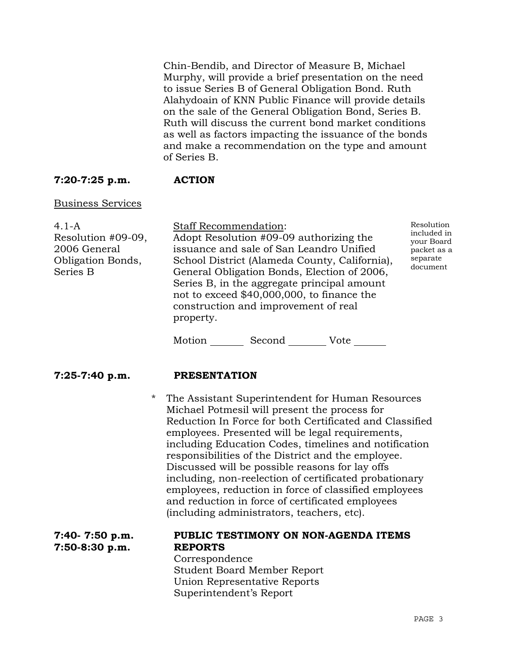Chin-Bendib, and Director of Measure B, Michael Murphy, will provide a brief presentation on the need to issue Series B of General Obligation Bond. Ruth Alahydoain of KNN Public Finance will provide details on the sale of the General Obligation Bond, Series B. Ruth will discuss the current bond market conditions as well as factors impacting the issuance of the bonds and make a recommendation on the type and amount of Series B.

## **7:20-7:25 p.m. ACTION**

## Business Services

| $4.1 - A$                                                                  | <b>Staff Recommendation:</b>                                                                                                                                                                                                                                                                                                          | Resolution                                                       |
|----------------------------------------------------------------------------|---------------------------------------------------------------------------------------------------------------------------------------------------------------------------------------------------------------------------------------------------------------------------------------------------------------------------------------|------------------------------------------------------------------|
| Resolution #09-09,<br>2006 General<br><b>Obligation Bonds,</b><br>Series B | Adopt Resolution #09-09 authorizing the<br>issuance and sale of San Leandro Unified<br>School District (Alameda County, California),<br>General Obligation Bonds, Election of 2006,<br>Series B, in the aggregate principal amount<br>not to exceed \$40,000,000, to finance the<br>construction and improvement of real<br>property. | included in<br>your Board<br>packet as a<br>separate<br>document |
|                                                                            | Motion<br>Second<br>Vote                                                                                                                                                                                                                                                                                                              |                                                                  |

## **7:25-7:40 p.m. PRESENTATION**

 \* The Assistant Superintendent for Human Resources Michael Potmesil will present the process for Reduction In Force for both Certificated and Classified employees. Presented will be legal requirements, including Education Codes, timelines and notification responsibilities of the District and the employee. Discussed will be possible reasons for lay offs including, non-reelection of certificated probationary employees, reduction in force of classified employees and reduction in force of certificated employees (including administrators, teachers, etc).

| $7:40-7:50 p.m.$ | PUBLIC TESTIMONY ON NON-AGENDA ITEMS |
|------------------|--------------------------------------|
| $7:50-8:30 p.m.$ | <b>REPORTS</b>                       |
|                  | Correspondence                       |
|                  | <b>Student Board Member Report</b>   |
|                  | Union Representative Reports         |
|                  | Superintendent's Report              |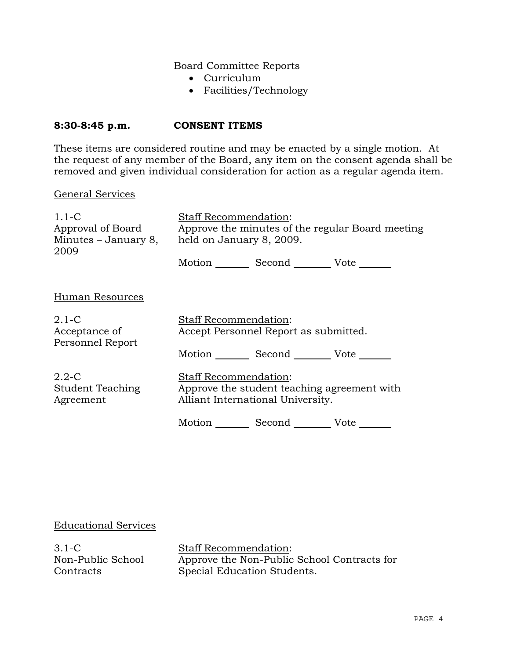Board Committee Reports

- Curriculum
- Facilities/Technology

## **8:30-8:45 p.m. CONSENT ITEMS**

These items are considered routine and may be enacted by a single motion. At the request of any member of the Board, any item on the consent agenda shall be removed and given individual consideration for action as a regular agenda item.

#### General Services

| $1.1 - C$<br>Approval of Board<br>2009       | <b>Staff Recommendation:</b><br>Approve the minutes of the regular Board meeting<br>Minutes $-$ January 8, held on January 8, 2009. |                                   |                                                 |
|----------------------------------------------|-------------------------------------------------------------------------------------------------------------------------------------|-----------------------------------|-------------------------------------------------|
|                                              |                                                                                                                                     |                                   | Motion _________ Second __________ Vote _______ |
| Human Resources                              |                                                                                                                                     |                                   |                                                 |
| $2.1-C$<br>Acceptance of<br>Personnel Report | Staff Recommendation:<br>Accept Personnel Report as submitted.                                                                      |                                   |                                                 |
|                                              |                                                                                                                                     |                                   | Motion Second Vote                              |
| $2.2 - C$<br>Student Teaching<br>Agreement   | <b>Staff Recommendation:</b>                                                                                                        | Alliant International University. | Approve the student teaching agreement with     |
|                                              | Motion                                                                                                                              |                                   | Vote                                            |

## Educational Services

3.1-C Non-Public School **Contracts** 

Staff Recommendation: Approve the Non-Public School Contracts for Special Education Students.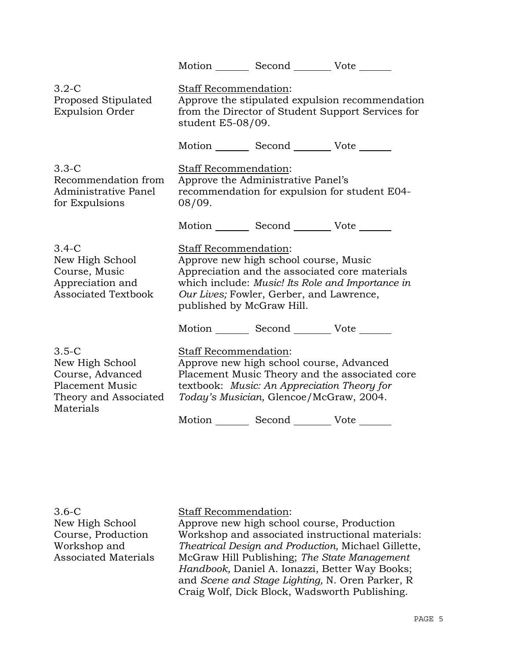| Motion Second Vote                                                                                                                                                                                                                                                                                     |
|--------------------------------------------------------------------------------------------------------------------------------------------------------------------------------------------------------------------------------------------------------------------------------------------------------|
| Staff Recommendation:<br>Approve the stipulated expulsion recommendation<br>from the Director of Student Support Services for<br>student E5-08/09.                                                                                                                                                     |
| Motion Second Vote ______                                                                                                                                                                                                                                                                              |
| Staff Recommendation:<br>Approve the Administrative Panel's<br>recommendation for expulsion for student E04-<br>08/09.                                                                                                                                                                                 |
| Motion _________ Second __________ Vote _______                                                                                                                                                                                                                                                        |
| <b>Staff Recommendation:</b><br>Approve new high school course, Music<br>Appreciation and the associated core materials<br>which include: Music! Its Role and Importance in<br>Our Lives; Fowler, Gerber, and Lawrence,<br>published by McGraw Hill.<br>Motion _________ Second __________ Vote ______ |
| Staff Recommendation:<br>Approve new high school course, Advanced<br>Placement Music Theory and the associated core<br>textbook: Music: An Appreciation Theory for<br>Today's Musician, Glencoe/McGraw, 2004.<br>Motion _________ Second __________ Vote _______                                       |
|                                                                                                                                                                                                                                                                                                        |

3.6-C New High School Course, Production Workshop and Associated Materials

# Staff Recommendation:

Approve new high school course, Production Workshop and associated instructional materials: *Theatrical Design and Production,* Michael Gillette, McGraw Hill Publishing; *The State Management Handbook,* Daniel A. Ionazzi, Better Way Books; and *Scene and Stage Lighting,* N. Oren Parker, R Craig Wolf, Dick Block, Wadsworth Publishing.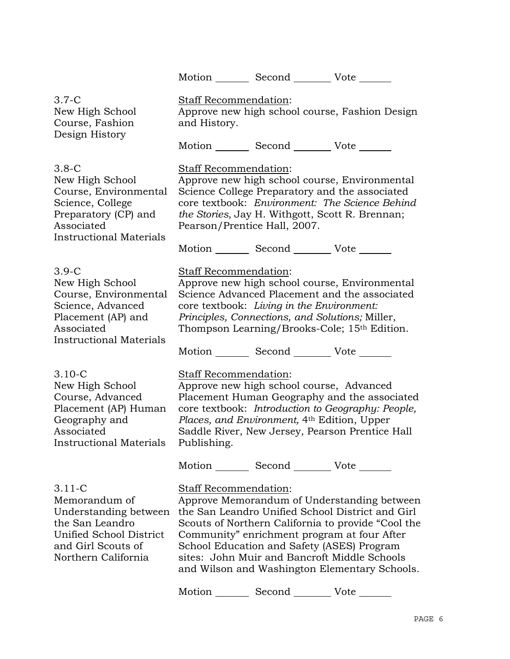Motion Second Vote

3.7-C New High School Course, Fashion Design History Staff Recommendation: Approve new high school course, Fashion Design and History. Motion Second Vote 3.8-C New High School Course, Environmental Science, College Preparatory (CP) and Associated Instructional Materials Staff Recommendation: Approve new high school course, Environmental Science College Preparatory and the associated core textbook: *Environment: The Science Behind the Stories,* Jay H. Withgott, Scott R. Brennan; Pearson/Prentice Hall, 2007. Motion Second Vote 3.9-C New High School Course, Environmental Science, Advanced Placement (AP) and Associated Instructional Materials Staff Recommendation: Approve new high school course, Environmental Science Advanced Placement and the associated core textbook: *Living in the Environment: Principles, Connections, and Solutions;* Miller, Thompson Learning/Brooks-Cole; 15th Edition. Motion \_\_\_\_\_\_\_\_ Second \_\_\_\_\_\_\_\_\_ Vote \_\_\_\_\_\_\_ 3.10-C New High School Course, Advanced Placement (AP) Human Geography and Associated Instructional Materials Staff Recommendation: Approve new high school course, Advanced Placement Human Geography and the associated core textbook: *Introduction to Geography: People, Places, and Environment,* 4th Edition, Upper Saddle River, New Jersey, Pearson Prentice Hall Publishing. Motion Second Vote Note 3.11-C Memorandum of Understanding between the San Leandro Unified School District and Girl the San Leandro Unified School District and Girl Scouts of Northern California Staff Recommendation: Approve Memorandum of Understanding between Scouts of Northern California to provide "Cool the Community" enrichment program at four After School Education and Safety (ASES) Program sites: John Muir and Bancroft Middle Schools and Wilson and Washington Elementary Schools. Motion Second Vote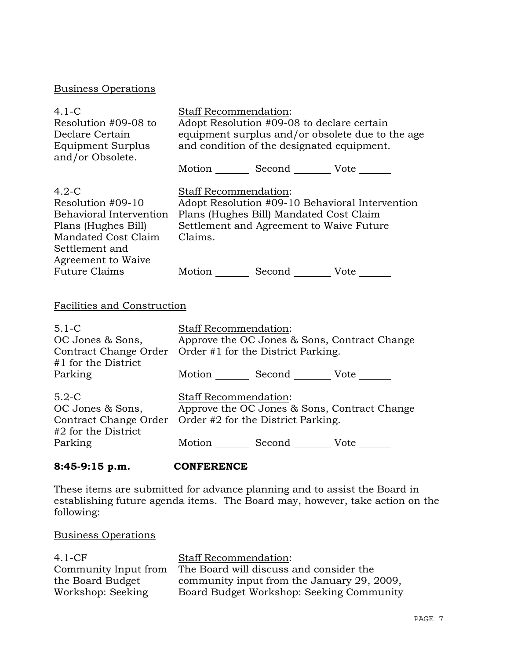# Business Operations

| $4.1-C$<br>Resolution #09-08 to<br>Declare Certain<br>Equipment Surplus<br>and/or Obsolete.                                                                           | <b>Staff Recommendation:</b><br>Adopt Resolution #09-08 to declare certain<br>equipment surplus and/or obsolete due to the age<br>and condition of the designated equipment.<br>Motion _________ Second _________ Vote _______ |                                                                                                                                        |                                                 |
|-----------------------------------------------------------------------------------------------------------------------------------------------------------------------|--------------------------------------------------------------------------------------------------------------------------------------------------------------------------------------------------------------------------------|----------------------------------------------------------------------------------------------------------------------------------------|-------------------------------------------------|
| $4.2-C$<br>Resolution #09-10<br>Behavioral Intervention<br>Plans (Hughes Bill)<br>Mandated Cost Claim<br>Settlement and<br>Agreement to Waive<br><b>Future Claims</b> | Staff Recommendation:<br>Claims.                                                                                                                                                                                               | Plans (Hughes Bill) Mandated Cost Claim<br>Settlement and Agreement to Waive Future<br>Motion _________ Second __________ Vote _______ | Adopt Resolution #09-10 Behavioral Intervention |
| Facilities and Construction                                                                                                                                           |                                                                                                                                                                                                                                |                                                                                                                                        |                                                 |
| $5.1 - C$<br>OC Jones & Sons,<br>Contract Change Order<br>#1 for the District                                                                                         | <b>Staff Recommendation:</b>                                                                                                                                                                                                   | Order #1 for the District Parking.                                                                                                     | Approve the OC Jones & Sons, Contract Change    |
| Parking                                                                                                                                                               |                                                                                                                                                                                                                                | Motion _________ Second __________ Vote _______                                                                                        |                                                 |
| $5.2-C$<br>OC Jones & Sons,<br>Contract Change Order<br>#2 for the District                                                                                           | Staff Recommendation:                                                                                                                                                                                                          | Order #2 for the District Parking.                                                                                                     | Approve the OC Jones & Sons, Contract Change    |
| Parking                                                                                                                                                               |                                                                                                                                                                                                                                | Motion _________ Second __________ Vote _______                                                                                        |                                                 |
| $8:45-9:15$ p.m.                                                                                                                                                      | <b>CONFERENCE</b>                                                                                                                                                                                                              |                                                                                                                                        |                                                 |

These items are submitted for advance planning and to assist the Board in establishing future agenda items. The Board may, however, take action on the following:

# Business Operations

| $4.1-CF$             | Staff Recommendation:                      |
|----------------------|--------------------------------------------|
| Community Input from | The Board will discuss and consider the    |
| the Board Budget     | community input from the January 29, 2009, |
| Workshop: Seeking    | Board Budget Workshop: Seeking Community   |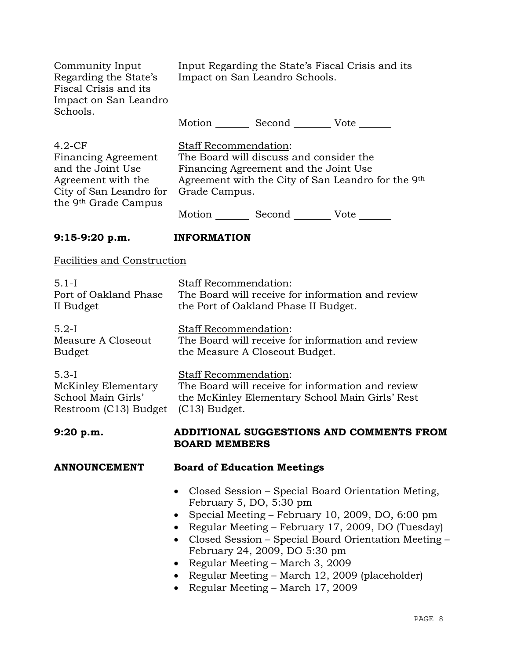| Community Input<br>Regarding the State's<br>Fiscal Crisis and its<br>Impact on San Leandro<br>Schools.                                    | Input Regarding the State's Fiscal Crisis and its<br>Impact on San Leandro Schools.                                                                                              |  |
|-------------------------------------------------------------------------------------------------------------------------------------------|----------------------------------------------------------------------------------------------------------------------------------------------------------------------------------|--|
|                                                                                                                                           | Motion _________ Second __________ Vote _______                                                                                                                                  |  |
| $4.2-CF$<br>Financing Agreement<br>and the Joint Use<br>Agreement with the<br>City of San Leandro for<br>the 9 <sup>th</sup> Grade Campus | Staff Recommendation:<br>The Board will discuss and consider the<br>Financing Agreement and the Joint Use<br>Agreement with the City of San Leandro for the 9th<br>Grade Campus. |  |
|                                                                                                                                           | Motion _________ Second __________ Vote _______                                                                                                                                  |  |
| 9:15-9:20 p.m.                                                                                                                            | <b>INFORMATION</b>                                                                                                                                                               |  |
| Facilities and Construction                                                                                                               |                                                                                                                                                                                  |  |
| $5.1-I$<br>Port of Oakland Phase<br>II Budget                                                                                             | <b>Staff Recommendation:</b><br>The Board will receive for information and review<br>the Port of Oakland Phase II Budget.                                                        |  |
| $5.2-I$<br>Measure A Closeout<br><b>Budget</b>                                                                                            | Staff Recommendation:<br>The Board will receive for information and review<br>the Measure A Closeout Budget.                                                                     |  |
| $5.3-I$<br>McKinley Elementary<br>School Main Girls'<br>Restroom (C13) Budget                                                             | <b>Staff Recommendation:</b><br>The Board will receive for information and review<br>the McKinley Elementary School Main Girls' Rest<br>$(C13)$ Budget.                          |  |
| 9:20 p.m.                                                                                                                                 | ADDITIONAL SUGGESTIONS AND COMMENTS FROM<br><b>BOARD MEMBERS</b>                                                                                                                 |  |
| <b>ANNOUNCEMENT</b>                                                                                                                       | <b>Board of Education Meetings</b>                                                                                                                                               |  |
|                                                                                                                                           | Closed Session - Special Board Orientation Meting,<br>February 5, DO, 5:30 pm<br>Special Meeting - February 10, 2009, DO, 6:00 pm                                                |  |

- Regular Meeting February 17, 2009, DO (Tuesday)
- Closed Session Special Board Orientation Meeting February 24, 2009, DO 5:30 pm
- Regular Meeting March 3, 2009
- Regular Meeting March 12, 2009 (placeholder)
- Regular Meeting March 17, 2009